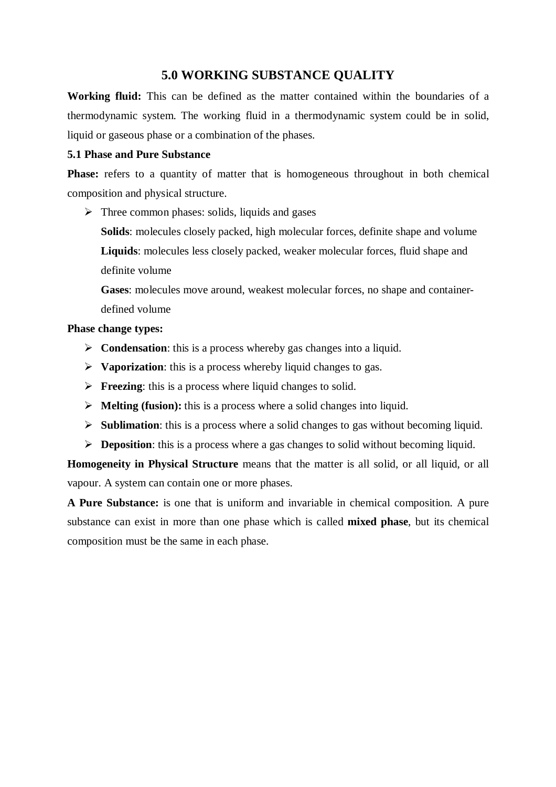## **5.0 WORKING SUBSTANCE QUALITY**

**Working fluid:** This can be defined as the matter contained within the boundaries of a thermodynamic system. The working fluid in a thermodynamic system could be in solid, liquid or gaseous phase or a combination of the phases.

### **5.1 Phase and Pure Substance**

**Phase:** refers to a quantity of matter that is homogeneous throughout in both chemical composition and physical structure.

 $\triangleright$  Three common phases: solids, liquids and gases

**Solids**: molecules closely packed, high molecular forces, definite shape and volume **Liquids**: molecules less closely packed, weaker molecular forces, fluid shape and definite volume

**Gases**: molecules move around, weakest molecular forces, no shape and containerdefined volume

### **Phase change types:**

- **Example 3 Condensation:** this is a process whereby gas changes into a liquid.
- **Vaporization**: this is a process whereby liquid changes to gas.
- **Freezing:** this is a process where liquid changes to solid.
- **Melting (fusion):** this is a process where a solid changes into liquid.
- **Sublimation**: this is a process where a solid changes to gas without becoming liquid.
- **Deposition:** this is a process where a gas changes to solid without becoming liquid.

**Homogeneity in Physical Structure** means that the matter is all solid, or all liquid, or all vapour. A system can contain one or more phases.

**A Pure Substance:** is one that is uniform and invariable in chemical composition. A pure substance can exist in more than one phase which is called **mixed phase**, but its chemical composition must be the same in each phase.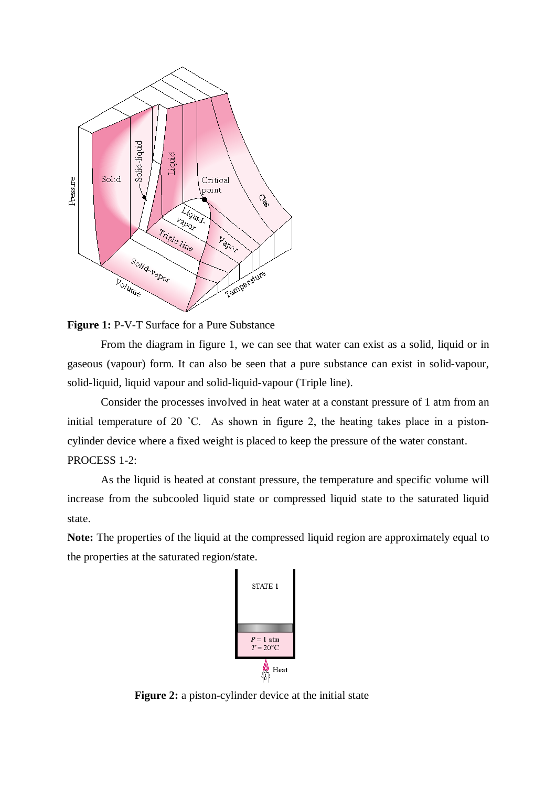

**Figure 1:** P-V-T Surface for a Pure Substance

From the diagram in figure 1, we can see that water can exist as a solid, liquid or in gaseous (vapour) form. It can also be seen that a pure substance can exist in solid-vapour, solid-liquid, liquid vapour and solid-liquid-vapour (Triple line).

Consider the processes involved in heat water at a constant pressure of 1 atm from an initial temperature of 20 ˚C. As shown in figure 2, the heating takes place in a pistoncylinder device where a fixed weight is placed to keep the pressure of the water constant. PROCESS 1-2:

As the liquid is heated at constant pressure, the temperature and specific volume will increase from the subcooled liquid state or compressed liquid state to the saturated liquid state.

**Note:** The properties of the liquid at the compressed liquid region are approximately equal to the properties at the saturated region/state.



**Figure 2:** a piston-cylinder device at the initial state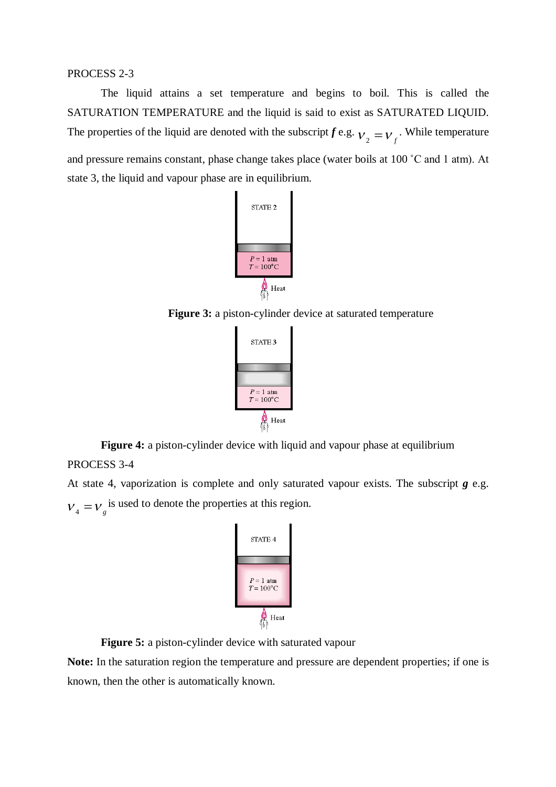#### PROCESS 2-3

The liquid attains a set temperature and begins to boil. This is called the SATURATION TEMPERATURE and the liquid is said to exist as SATURATED LIQUID. The properties of the liquid are denoted with the subscript *f* e.g.  $v_2 = v_f$ . While temperature and pressure remains constant, phase change takes place (water boils at 100 ˚C and 1 atm). At state 3, the liquid and vapour phase are in equilibrium.



**Figure 3:** a piston-cylinder device at saturated temperature

| STATE 3                            |
|------------------------------------|
|                                    |
|                                    |
| $P = 1$ atm<br>$T = 100^{\circ}$ C |
| Heat                               |

**Figure 4:** a piston-cylinder device with liquid and vapour phase at equilibrium PROCESS 3-4

At state 4, vaporization is complete and only saturated vapour exists. The subscript *g* e.g.  $V_4 = V_g$  is used to denote the properties at this region.



**Figure 5:** a piston-cylinder device with saturated vapour

**Note:** In the saturation region the temperature and pressure are dependent properties; if one is known, then the other is automatically known.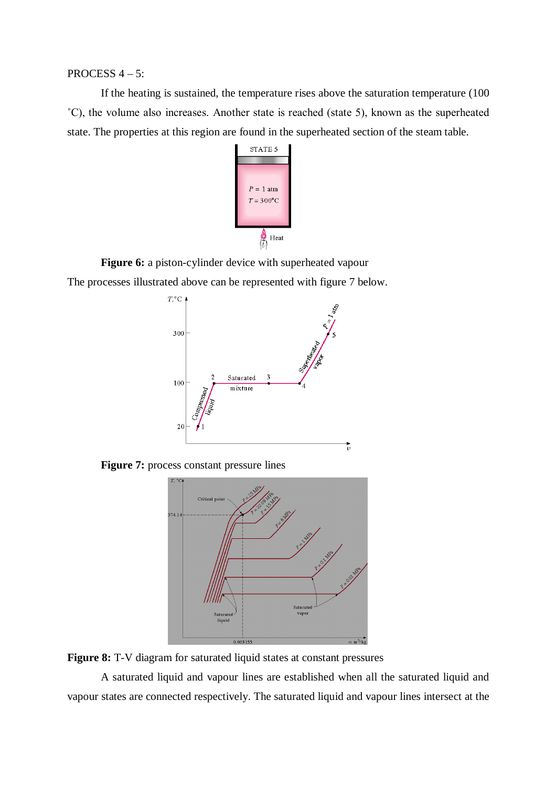#### PROCESS 4 – 5:

If the heating is sustained, the temperature rises above the saturation temperature (100 ˚C), the volume also increases. Another state is reached (state 5), known as the superheated state. The properties at this region are found in the superheated section of the steam table.



**Figure 6:** a piston-cylinder device with superheated vapour

The processes illustrated above can be represented with figure 7 below.



**Figure 7:** process constant pressure lines



**Figure 8:** T-V diagram for saturated liquid states at constant pressures

A saturated liquid and vapour lines are established when all the saturated liquid and vapour states are connected respectively. The saturated liquid and vapour lines intersect at the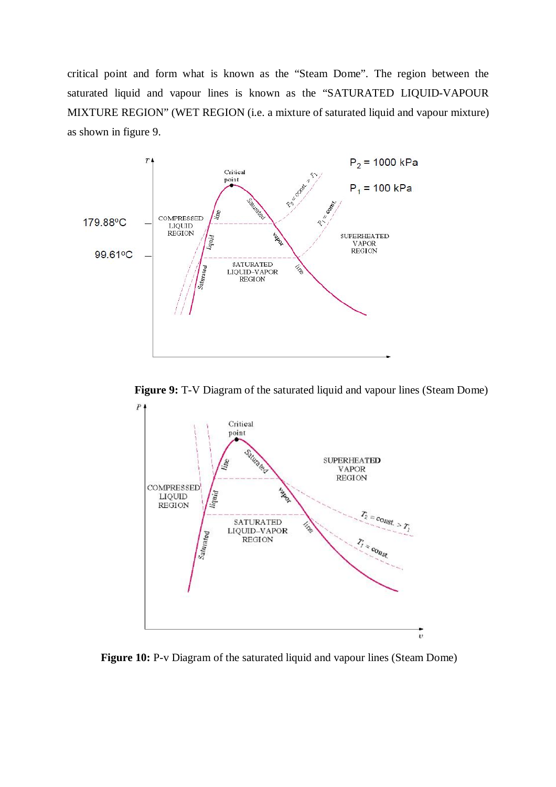critical point and form what is known as the "Steam Dome". The region between the saturated liquid and vapour lines is known as the "SATURATED LIQUID-VAPOUR MIXTURE REGION" (WET REGION (i.e. a mixture of saturated liquid and vapour mixture) as shown in figure 9.



**Figure 9:** T-V Diagram of the saturated liquid and vapour lines (Steam Dome)



**Figure 10:** P-v Diagram of the saturated liquid and vapour lines (Steam Dome)